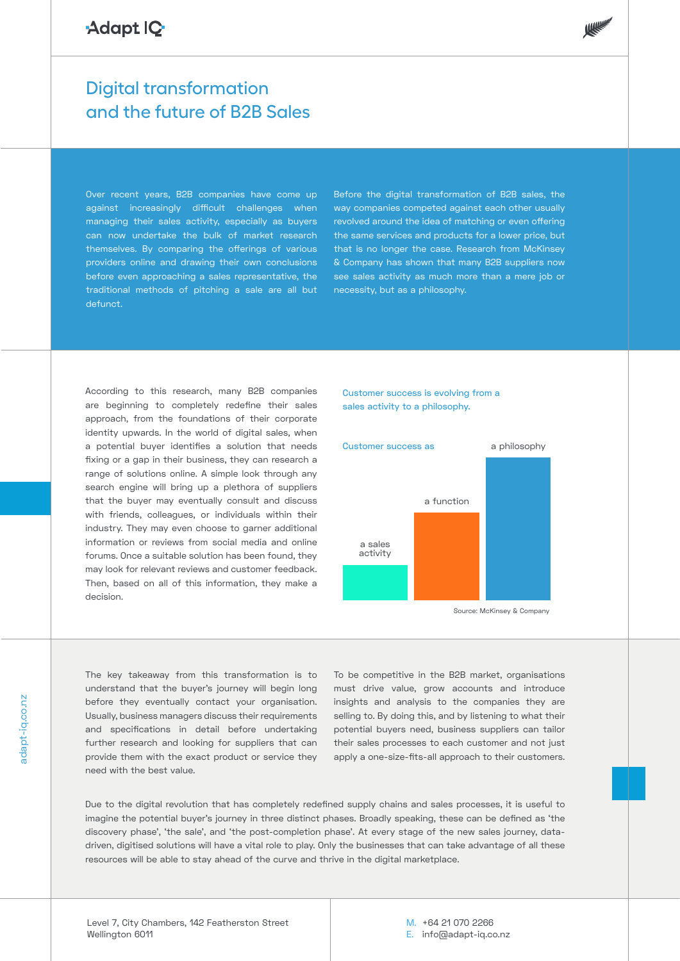## Adapt IQ

## Digital transformation and the future of B2B Sales

Over recent years, B2B companies have come up against increasingly difficult challenges when managing their sales activity, especially as buyers can now undertake the bulk of market research themselves. By comparing the offerings of various providers online and drawing their own conclusions before even approaching a sales representative, the traditional methods of pitching a sale are all but defunct.

Before the digital transformation of B2B sales, the way companies competed against each other usually revolved around the idea of matching or even offering the same services and products for a lower price, but that is no longer the case. Research from McKinsey & Company has shown that many B2B suppliers now see sales activity as much more than a mere job or necessity, but as a philosophy.

According to this research, many B2B companies are beginning to completely redefine their sales approach, from the foundations of their corporate identity upwards. In the world of digital sales, when a potential buyer identifies a solution that needs fixing or a gap in their business, they can research a range of solutions online. A simple look through any search engine will bring up a plethora of suppliers that the buyer may eventually consult and discuss with friends, colleagues, or individuals within their industry. They may even choose to garner additional information or reviews from social media and online forums. Once a suitable solution has been found, they may look for relevant reviews and customer feedback. Then, based on all of this information, they make a decision.

## Customer success is evolving from a sales activity to a philosophy.



Source: McKinsey & Company

The key takeaway from this transformation is to understand that the buyer's journey will begin long before they eventually contact your organisation. Usually, business managers discuss their requirements and specifications in detail before undertaking further research and looking for suppliers that can provide them with the exact product or service they need with the best value.

To be competitive in the B2B market, organisations must drive value, grow accounts and introduce insights and analysis to the companies they are selling to. By doing this, and by listening to what their potential buyers need, business suppliers can tailor their sales processes to each customer and not just apply a one-size-fits-all approach to their customers.

Due to the digital revolution that has completely redefined supply chains and sales processes, it is useful to imagine the potential buyer's journey in three distinct phases. Broadly speaking, these can be defined as 'the discovery phase', 'the sale', and 'the post-completion phase'. At every stage of the new sales journey, datadriven, digitised solutions will have a vital role to play. Only the businesses that can take advantage of all these resources will be able to stay ahead of the curve and thrive in the digital marketplace.

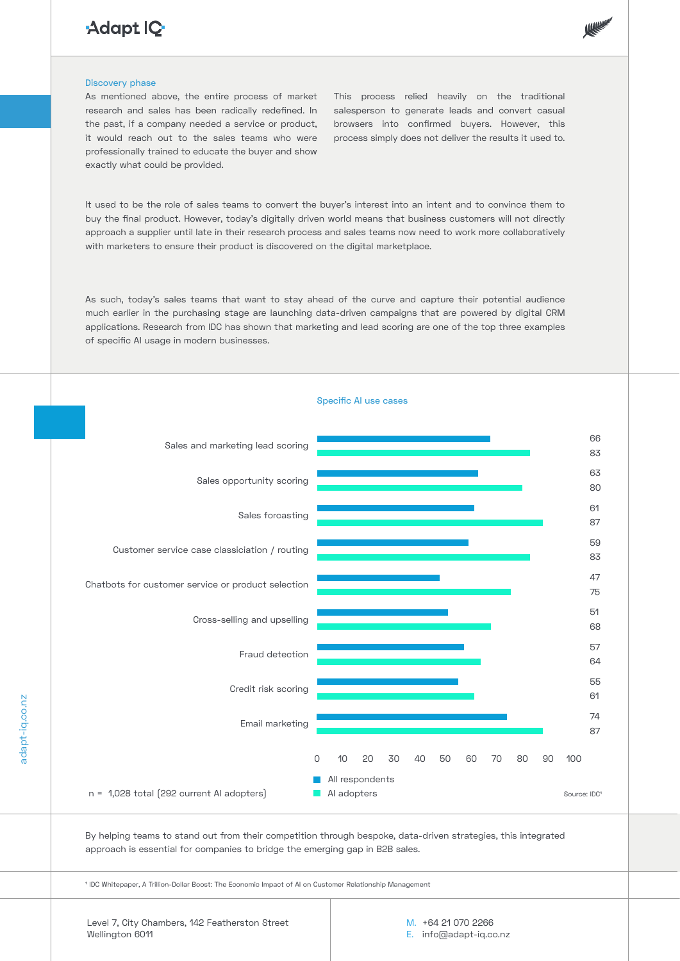# Adapt IQ-



#### Discovery phase

As mentioned above, the entire process of market research and sales has been radically redefined. In the past, if a company needed a service or product, it would reach out to the sales teams who were professionally trained to educate the buyer and show exactly what could be provided.

This process relied heavily on the traditional salesperson to generate leads and convert casual browsers into confirmed buyers. However, this process simply does not deliver the results it used to.

It used to be the role of sales teams to convert the buyer's interest into an intent and to convince them to buy the final product. However, today's digitally driven world means that business customers will not directly approach a supplier until late in their research process and sales teams now need to work more collaboratively with marketers to ensure their product is discovered on the digital marketplace.

As such, today's sales teams that want to stay ahead of the curve and capture their potential audience much earlier in the purchasing stage are launching data-driven campaigns that are powered by digital CRM applications. Research from IDC has shown that marketing and lead scoring are one of the top three examples of specific AI usage in modern businesses.



By helping teams to stand out from their competition through bespoke, data-driven strategies, this integrated approach is essential for companies to bridge the emerging gap in B2B sales.

1 IDC Whitepaper, A Trillion-Dollar Boost: The Economic Impact of AI on Customer Relationship Management

adapt-iq.co.nz

adapt-ig.co.nz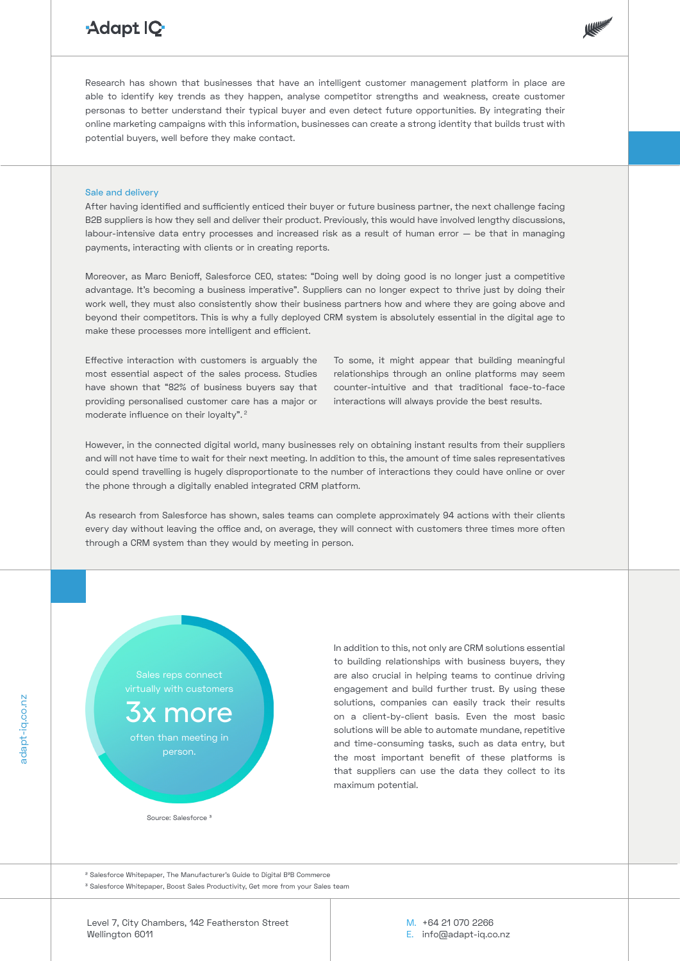# Adapt IQ



Research has shown that businesses that have an intelligent customer management platform in place are able to identify key trends as they happen, analyse competitor strengths and weakness, create customer personas to better understand their typical buyer and even detect future opportunities. By integrating their online marketing campaigns with this information, businesses can create a strong identity that builds trust with potential buyers, well before they make contact.

## Sale and delivery

After having identified and sufficiently enticed their buyer or future business partner, the next challenge facing B2B suppliers is how they sell and deliver their product. Previously, this would have involved lengthy discussions, labour-intensive data entry processes and increased risk as a result of human error — be that in managing payments, interacting with clients or in creating reports.

Moreover, as Marc Benioff, Salesforce CEO, states: "Doing well by doing good is no longer just a competitive advantage. It's becoming a business imperative". Suppliers can no longer expect to thrive just by doing their work well, they must also consistently show their business partners how and where they are going above and beyond their competitors. This is why a fully deployed CRM system is absolutely essential in the digital age to make these processes more intelligent and efficient.

Effective interaction with customers is arguably the most essential aspect of the sales process. Studies have shown that "82% of business buyers say that providing personalised customer care has a major or moderate influence on their loyalty".<sup>2</sup>

To some, it might appear that building meaningful relationships through an online platforms may seem counter-intuitive and that traditional face-to-face interactions will always provide the best results.

However, in the connected digital world, many businesses rely on obtaining instant results from their suppliers and will not have time to wait for their next meeting. In addition to this, the amount of time sales representatives could spend travelling is hugely disproportionate to the number of interactions they could have online or over the phone through a digitally enabled integrated CRM platform.

As research from Salesforce has shown, sales teams can complete approximately 94 actions with their clients every day without leaving the office and, on average, they will connect with customers three times more often through a CRM system than they would by meeting in person.

virtually with customers

x more often than meeting in person.

In addition to this, not only are CRM solutions essential to building relationships with business buyers, they are also crucial in helping teams to continue driving engagement and build further trust. By using these solutions, companies can easily track their results on a client-by-client basis. Even the most basic solutions will be able to automate mundane, repetitive and time-consuming tasks, such as data entry, but the most important benefit of these platforms is that suppliers can use the data they collect to its maximum potential.

Source: Salesforce 3

<sup>2</sup> Salesforce Whitepaper, The Manufacturer's Guide to Digital B<sup>2</sup>B Commerce 3 Salesforce Whitepaper, Boost Sales Productivity, Get more from your Sales team

Level 7, City Chambers, 142 Featherston Street Wellington 6011

M. +64 21 070 2266 E. info@adapt-iq.co.nz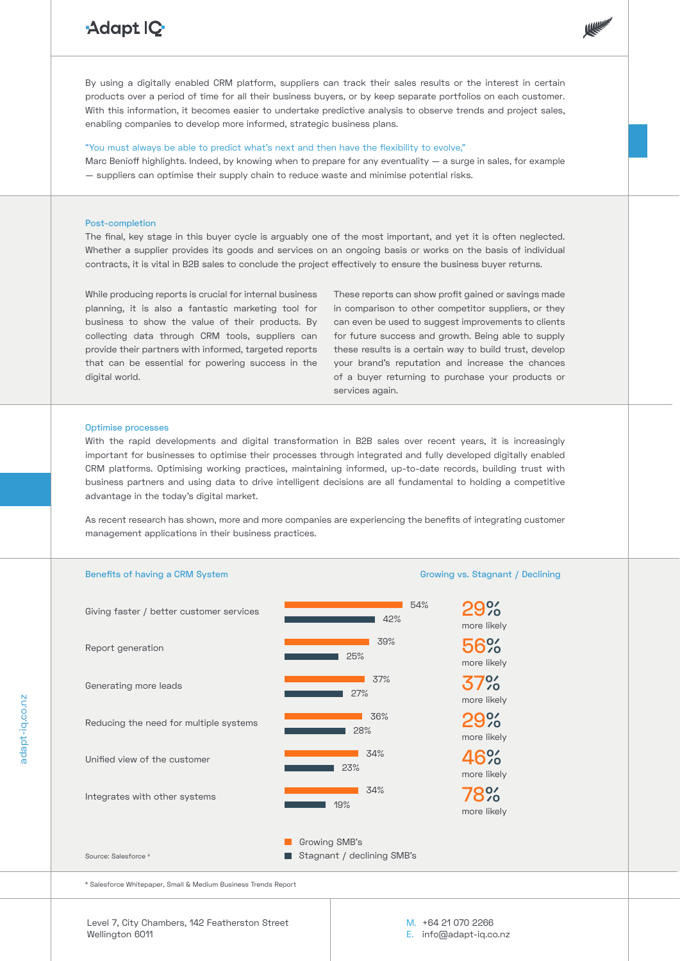# Adapt IQ-



By using a digitally enabled CRM platform, suppliers can track their sales results or the interest in certain products over a period of time for all their business buyers, or by keep separate portfolios on each customer. With this information, it becomes easier to undertake predictive analysis to observe trends and project sales, enabling companies to develop more informed, strategic business plans.

### "You must always be able to predict what's next and then have the flexibility to evolve,"

Marc Benioff highlights. Indeed, by knowing when to prepare for any eventuality — a surge in sales, for example — suppliers can optimise their supply chain to reduce waste and minimise potential risks.

## Post-completion

The final, key stage in this buyer cycle is arguably one of the most important, and yet it is often neglected. Whether a supplier provides its goods and services on an ongoing basis or works on the basis of individual contracts, it is vital in B2B sales to conclude the project effectively to ensure the business buyer returns.

While producing reports is crucial for internal business planning, it is also a fantastic marketing tool for business to show the value of their products. By collecting data through CRM tools, suppliers can provide their partners with informed, targeted reports that can be essential for powering success in the digital world.

These reports can show profit gained or savings made in comparison to other competitor suppliers, or they can even be used to suggest improvements to clients for future success and growth. Being able to supply these results is a certain way to build trust, develop your brand's reputation and increase the chances of a buyer returning to purchase your products or services again.

#### Optimise processes

adapt-iq.co.nz

adapt-ig.co.nz

With the rapid developments and digital transformation in B2B sales over recent years, it is increasingly important for businesses to optimise their processes through integrated and fully developed digitally enabled CRM platforms. Optimising working practices, maintaining informed, up-to-date records, building trust with business partners and using data to drive intelligent decisions are all fundamental to holding a competitive advantage in the today's digital market.

As recent research has shown, more and more companies are experiencing the benefits of integrating customer management applications in their business practices.



Level 7, City Chambers, 142 Featherston Street Wellington 6011

M. +64 21 070 2266 E. info@adapt-iq.co.nz